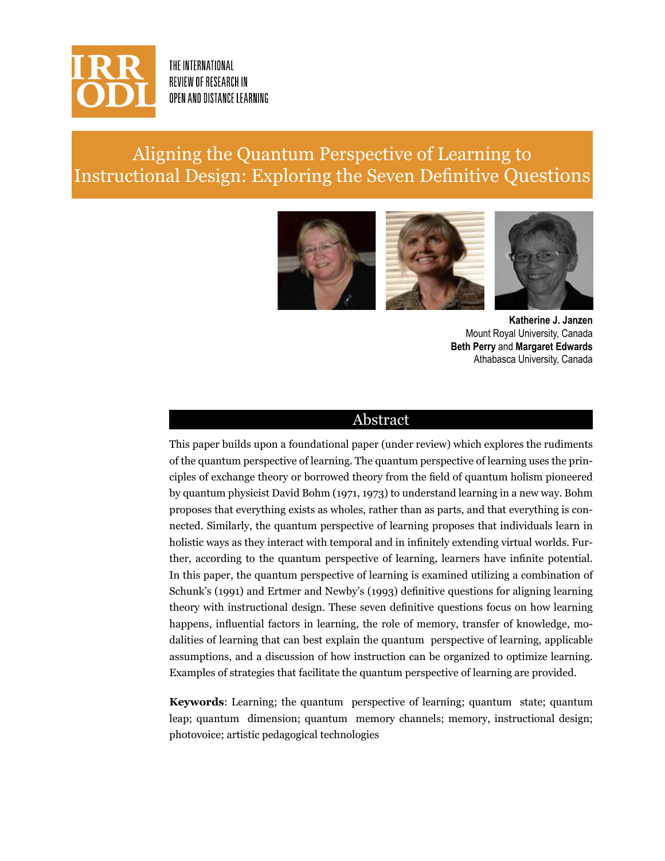

THE INTERNATIONAL REVIEW OF RESEARCH IN OPEN AND DISTANCE LEARNING

# Aligning the Quantum Perspective of Learning to Instructional Design: Exploring the Seven Definitive Questions





**Katherine J. Janzen** Mount Royal University, Canada **Beth Perry** and **Margaret Edwards** Athabasca University, Canada

### Abstract

This paper builds upon a foundational paper (under review) which explores the rudiments of the quantum perspective of learning. The quantum perspective of learning uses the principles of exchange theory or borrowed theory from the field of quantum holism pioneered by quantum physicist David Bohm (1971, 1973) to understand learning in a new way. Bohm proposes that everything exists as wholes, rather than as parts, and that everything is connected. Similarly, the quantum perspective of learning proposes that individuals learn in holistic ways as they interact with temporal and in infinitely extending virtual worlds. Further, according to the quantum perspective of learning, learners have infinite potential. In this paper, the quantum perspective of learning is examined utilizing a combination of Schunk's (1991) and Ertmer and Newby's (1993) definitive questions for aligning learning theory with instructional design. These seven definitive questions focus on how learning happens, influential factors in learning, the role of memory, transfer of knowledge, modalities of learning that can best explain the quantum perspective of learning, applicable assumptions, and a discussion of how instruction can be organized to optimize learning. Examples of strategies that facilitate the quantum perspective of learning are provided.

**Keywords**: Learning; the quantum perspective of learning; quantum state; quantum leap; quantum dimension; quantum memory channels; memory, instructional design; photovoice; artistic pedagogical technologies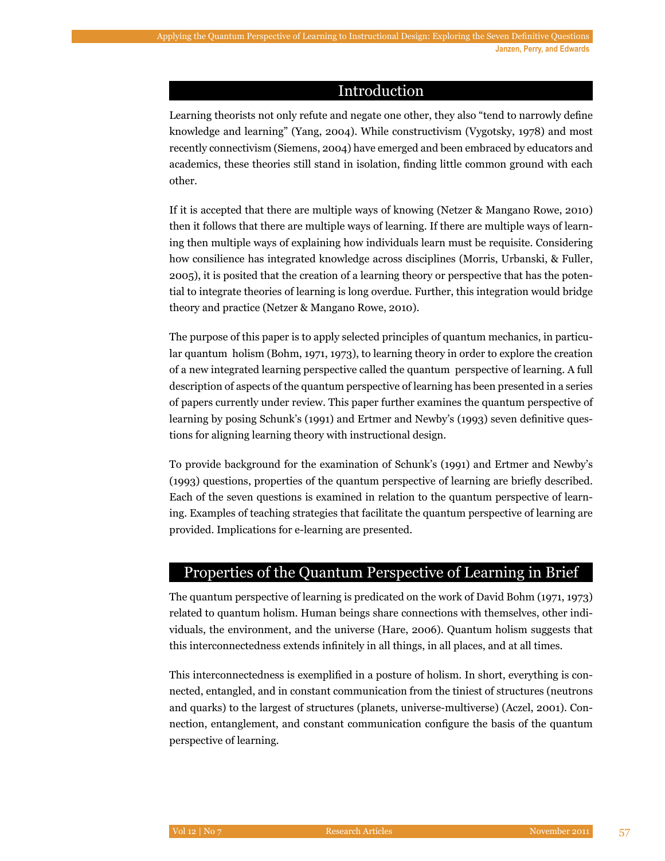### Introduction

Learning theorists not only refute and negate one other, they also "tend to narrowly define knowledge and learning" (Yang, 2004). While constructivism (Vygotsky, 1978) and most recently connectivism (Siemens, 2004) have emerged and been embraced by educators and academics, these theories still stand in isolation, finding little common ground with each other.

If it is accepted that there are multiple ways of knowing (Netzer & Mangano Rowe, 2010) then it follows that there are multiple ways of learning. If there are multiple ways of learning then multiple ways of explaining how individuals learn must be requisite. Considering how consilience has integrated knowledge across disciplines (Morris, Urbanski, & Fuller, 2005), it is posited that the creation of a learning theory or perspective that has the potential to integrate theories of learning is long overdue. Further, this integration would bridge theory and practice (Netzer & Mangano Rowe, 2010).

The purpose of this paper is to apply selected principles of quantum mechanics, in particular quantum holism (Bohm, 1971, 1973), to learning theory in order to explore the creation of a new integrated learning perspective called the quantum perspective of learning. A full description of aspects of the quantum perspective of learning has been presented in a series of papers currently under review. This paper further examines the quantum perspective of learning by posing Schunk's (1991) and Ertmer and Newby's (1993) seven definitive questions for aligning learning theory with instructional design.

To provide background for the examination of Schunk's (1991) and Ertmer and Newby's (1993) questions, properties of the quantum perspective of learning are briefly described. Each of the seven questions is examined in relation to the quantum perspective of learning. Examples of teaching strategies that facilitate the quantum perspective of learning are provided. Implications for e-learning are presented.

### Properties of the Quantum Perspective of Learning in Brief

The quantum perspective of learning is predicated on the work of David Bohm (1971, 1973) related to quantum holism. Human beings share connections with themselves, other individuals, the environment, and the universe (Hare, 2006). Quantum holism suggests that this interconnectedness extends infinitely in all things, in all places, and at all times.

This interconnectedness is exemplified in a posture of holism. In short, everything is connected, entangled, and in constant communication from the tiniest of structures (neutrons and quarks) to the largest of structures (planets, universe-multiverse) (Aczel, 2001). Connection, entanglement, and constant communication configure the basis of the quantum perspective of learning.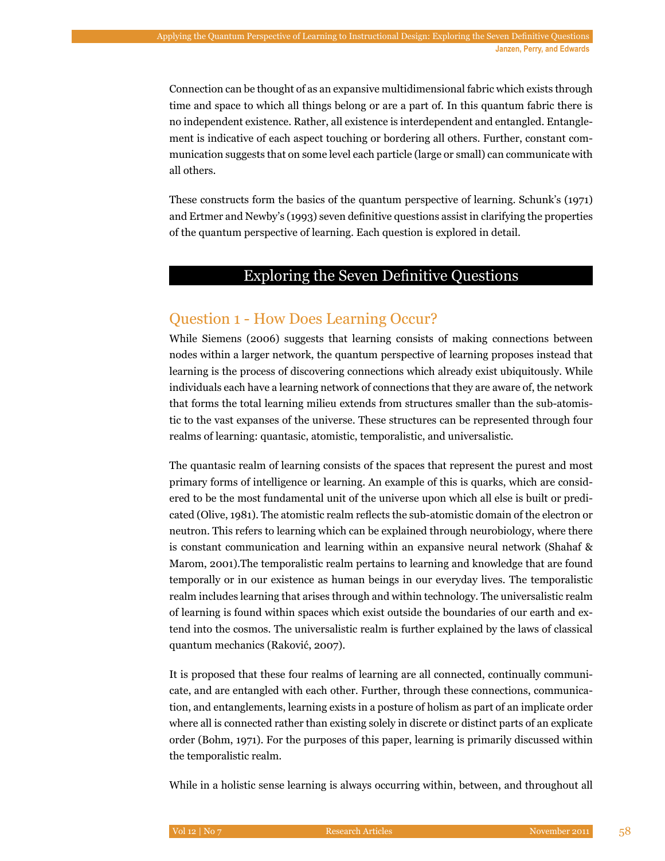Connection can be thought of as an expansive multidimensional fabric which exists through time and space to which all things belong or are a part of. In this quantum fabric there is no independent existence. Rather, all existence is interdependent and entangled. Entanglement is indicative of each aspect touching or bordering all others. Further, constant communication suggests that on some level each particle (large or small) can communicate with all others.

These constructs form the basics of the quantum perspective of learning. Schunk's (1971) and Ertmer and Newby's (1993) seven definitive questions assist in clarifying the properties of the quantum perspective of learning. Each question is explored in detail.

### Exploring the Seven Definitive Questions

# Question 1 - How Does Learning Occur?

While Siemens (2006) suggests that learning consists of making connections between nodes within a larger network, the quantum perspective of learning proposes instead that learning is the process of discovering connections which already exist ubiquitously. While individuals each have a learning network of connections that they are aware of, the network that forms the total learning milieu extends from structures smaller than the sub-atomistic to the vast expanses of the universe. These structures can be represented through four realms of learning: quantasic, atomistic, temporalistic, and universalistic.

The quantasic realm of learning consists of the spaces that represent the purest and most primary forms of intelligence or learning. An example of this is quarks, which are considered to be the most fundamental unit of the universe upon which all else is built or predicated (Olive, 1981). The atomistic realm reflects the sub-atomistic domain of the electron or neutron. This refers to learning which can be explained through neurobiology, where there is constant communication and learning within an expansive neural network (Shahaf & Marom, 2001).The temporalistic realm pertains to learning and knowledge that are found temporally or in our existence as human beings in our everyday lives. The temporalistic realm includes learning that arises through and within technology. The universalistic realm of learning is found within spaces which exist outside the boundaries of our earth and extend into the cosmos. The universalistic realm is further explained by the laws of classical quantum mechanics (Raković, 2007).

It is proposed that these four realms of learning are all connected, continually communicate, and are entangled with each other. Further, through these connections, communication, and entanglements, learning exists in a posture of holism as part of an implicate order where all is connected rather than existing solely in discrete or distinct parts of an explicate order (Bohm, 1971). For the purposes of this paper, learning is primarily discussed within the temporalistic realm.

While in a holistic sense learning is always occurring within, between, and throughout all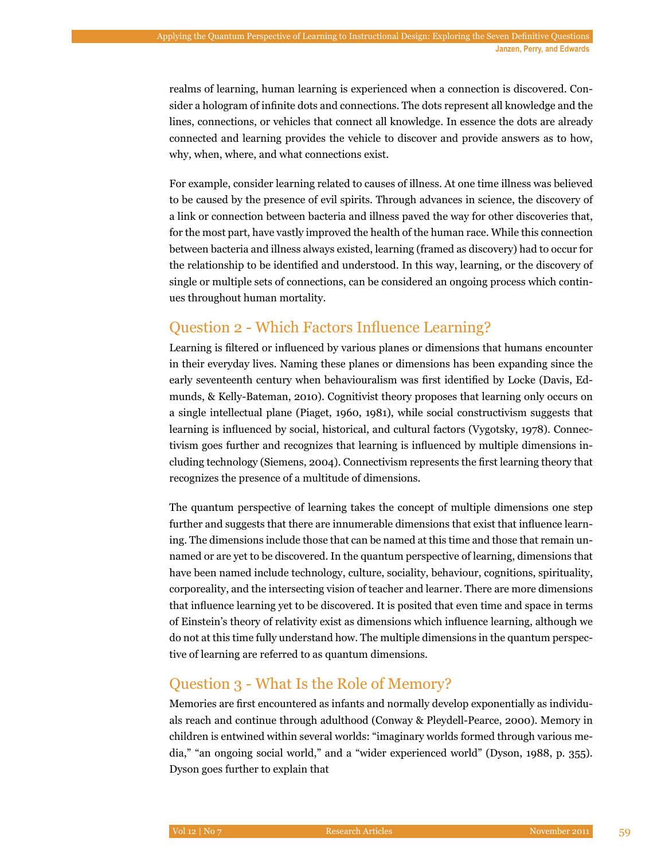realms of learning, human learning is experienced when a connection is discovered. Consider a hologram of infinite dots and connections. The dots represent all knowledge and the lines, connections, or vehicles that connect all knowledge. In essence the dots are already connected and learning provides the vehicle to discover and provide answers as to how, why, when, where, and what connections exist.

For example, consider learning related to causes of illness. At one time illness was believed to be caused by the presence of evil spirits. Through advances in science, the discovery of a link or connection between bacteria and illness paved the way for other discoveries that, for the most part, have vastly improved the health of the human race. While this connection between bacteria and illness always existed, learning (framed as discovery) had to occur for the relationship to be identified and understood. In this way, learning, or the discovery of single or multiple sets of connections, can be considered an ongoing process which continues throughout human mortality.

# Question 2 - Which Factors Influence Learning?

Learning is filtered or influenced by various planes or dimensions that humans encounter in their everyday lives. Naming these planes or dimensions has been expanding since the early seventeenth century when behaviouralism was first identified by Locke (Davis, Edmunds, & Kelly-Bateman, 2010). Cognitivist theory proposes that learning only occurs on a single intellectual plane (Piaget, 1960, 1981), while social constructivism suggests that learning is influenced by social, historical, and cultural factors (Vygotsky, 1978). Connectivism goes further and recognizes that learning is influenced by multiple dimensions including technology (Siemens, 2004). Connectivism represents the first learning theory that recognizes the presence of a multitude of dimensions.

The quantum perspective of learning takes the concept of multiple dimensions one step further and suggests that there are innumerable dimensions that exist that influence learning. The dimensions include those that can be named at this time and those that remain unnamed or are yet to be discovered. In the quantum perspective of learning, dimensions that have been named include technology, culture, sociality, behaviour, cognitions, spirituality, corporeality, and the intersecting vision of teacher and learner. There are more dimensions that influence learning yet to be discovered. It is posited that even time and space in terms of Einstein's theory of relativity exist as dimensions which influence learning, although we do not at this time fully understand how. The multiple dimensions in the quantum perspective of learning are referred to as quantum dimensions.

# Question 3 - What Is the Role of Memory?

Memories are first encountered as infants and normally develop exponentially as individuals reach and continue through adulthood (Conway & Pleydell-Pearce, 2000). Memory in children is entwined within several worlds: "imaginary worlds formed through various media," "an ongoing social world," and a "wider experienced world" (Dyson, 1988, p. 355). Dyson goes further to explain that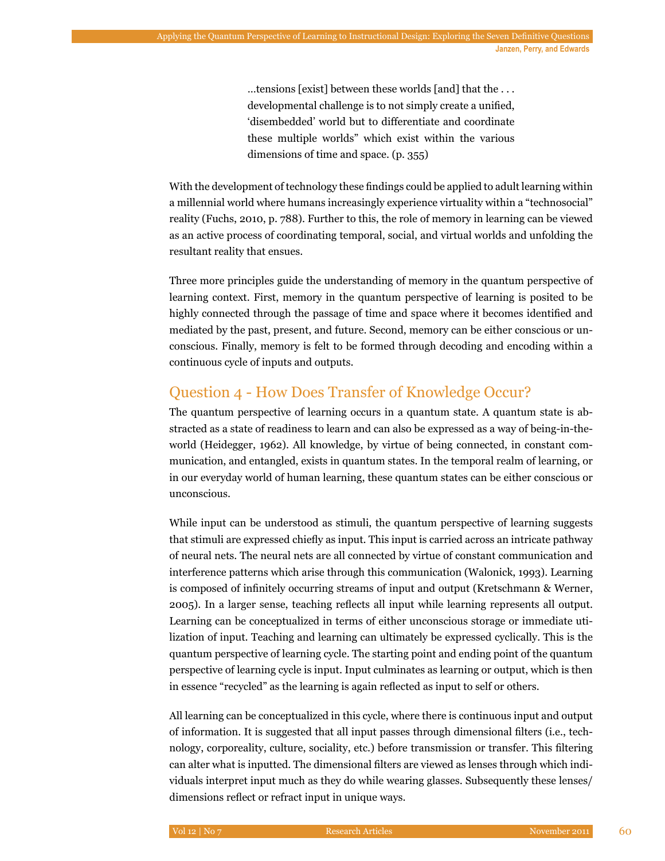…tensions [exist] between these worlds [and] that the . . . developmental challenge is to not simply create a unified, 'disembedded' world but to differentiate and coordinate these multiple worlds" which exist within the various dimensions of time and space. (p. 355)

With the development of technology these findings could be applied to adult learning within a millennial world where humans increasingly experience virtuality within a "technosocial" reality (Fuchs, 2010, p. 788). Further to this, the role of memory in learning can be viewed as an active process of coordinating temporal, social, and virtual worlds and unfolding the resultant reality that ensues.

Three more principles guide the understanding of memory in the quantum perspective of learning context. First, memory in the quantum perspective of learning is posited to be highly connected through the passage of time and space where it becomes identified and mediated by the past, present, and future. Second, memory can be either conscious or unconscious. Finally, memory is felt to be formed through decoding and encoding within a continuous cycle of inputs and outputs.

# Question 4 - How Does Transfer of Knowledge Occur?

The quantum perspective of learning occurs in a quantum state. A quantum state is abstracted as a state of readiness to learn and can also be expressed as a way of being-in-theworld (Heidegger, 1962). All knowledge, by virtue of being connected, in constant communication, and entangled, exists in quantum states. In the temporal realm of learning, or in our everyday world of human learning, these quantum states can be either conscious or unconscious.

While input can be understood as stimuli, the quantum perspective of learning suggests that stimuli are expressed chiefly as input. This input is carried across an intricate pathway of neural nets. The neural nets are all connected by virtue of constant communication and interference patterns which arise through this communication (Walonick, 1993). Learning is composed of infinitely occurring streams of input and output (Kretschmann & Werner, 2005). In a larger sense, teaching reflects all input while learning represents all output. Learning can be conceptualized in terms of either unconscious storage or immediate utilization of input. Teaching and learning can ultimately be expressed cyclically. This is the quantum perspective of learning cycle. The starting point and ending point of the quantum perspective of learning cycle is input. Input culminates as learning or output, which is then in essence "recycled" as the learning is again reflected as input to self or others.

All learning can be conceptualized in this cycle, where there is continuous input and output of information. It is suggested that all input passes through dimensional filters (i.e., technology, corporeality, culture, sociality, etc.) before transmission or transfer. This filtering can alter what is inputted. The dimensional filters are viewed as lenses through which individuals interpret input much as they do while wearing glasses. Subsequently these lenses/ dimensions reflect or refract input in unique ways.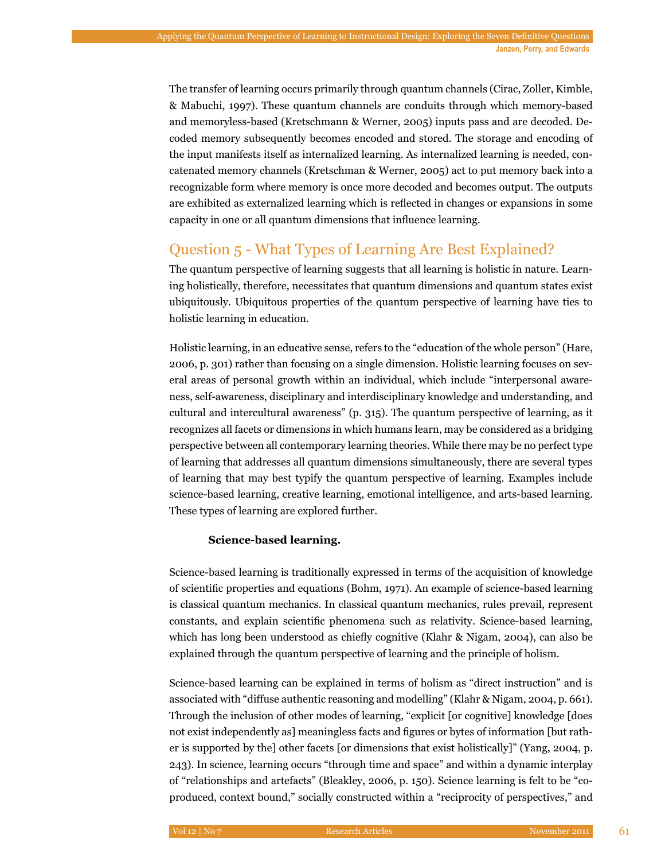The transfer of learning occurs primarily through quantum channels (Cirac, Zoller, Kimble, & Mabuchi, 1997). These quantum channels are conduits through which memory-based and memoryless-based (Kretschmann & Werner, 2005) inputs pass and are decoded. Decoded memory subsequently becomes encoded and stored. The storage and encoding of the input manifests itself as internalized learning. As internalized learning is needed, concatenated memory channels (Kretschman & Werner, 2005) act to put memory back into a recognizable form where memory is once more decoded and becomes output. The outputs are exhibited as externalized learning which is reflected in changes or expansions in some capacity in one or all quantum dimensions that influence learning.

# Question 5 - What Types of Learning Are Best Explained?

The quantum perspective of learning suggests that all learning is holistic in nature. Learning holistically, therefore, necessitates that quantum dimensions and quantum states exist ubiquitously. Ubiquitous properties of the quantum perspective of learning have ties to holistic learning in education.

Holistic learning, in an educative sense, refers to the "education of the whole person" (Hare, 2006, p. 301) rather than focusing on a single dimension. Holistic learning focuses on several areas of personal growth within an individual, which include "interpersonal awareness, self-awareness, disciplinary and interdisciplinary knowledge and understanding, and cultural and intercultural awareness" (p. 315). The quantum perspective of learning, as it recognizes all facets or dimensions in which humans learn, may be considered as a bridging perspective between all contemporary learning theories. While there may be no perfect type of learning that addresses all quantum dimensions simultaneously, there are several types of learning that may best typify the quantum perspective of learning. Examples include science-based learning, creative learning, emotional intelligence, and arts-based learning. These types of learning are explored further.

#### **Science-based learning.**

Science-based learning is traditionally expressed in terms of the acquisition of knowledge of scientific properties and equations (Bohm, 1971). An example of science-based learning is classical quantum mechanics. In classical quantum mechanics, rules prevail, represent constants, and explain scientific phenomena such as relativity. Science-based learning, which has long been understood as chiefly cognitive (Klahr & Nigam, 2004), can also be explained through the quantum perspective of learning and the principle of holism.

Science-based learning can be explained in terms of holism as "direct instruction" and is associated with "diffuse authentic reasoning and modelling" (Klahr & Nigam, 2004, p. 661). Through the inclusion of other modes of learning, "explicit [or cognitive] knowledge [does not exist independently as] meaningless facts and figures or bytes of information [but rather is supported by the] other facets [or dimensions that exist holistically]" (Yang, 2004, p. 243). In science, learning occurs "through time and space" and within a dynamic interplay of "relationships and artefacts" (Bleakley, 2006, p. 150). Science learning is felt to be "coproduced, context bound," socially constructed within a "reciprocity of perspectives," and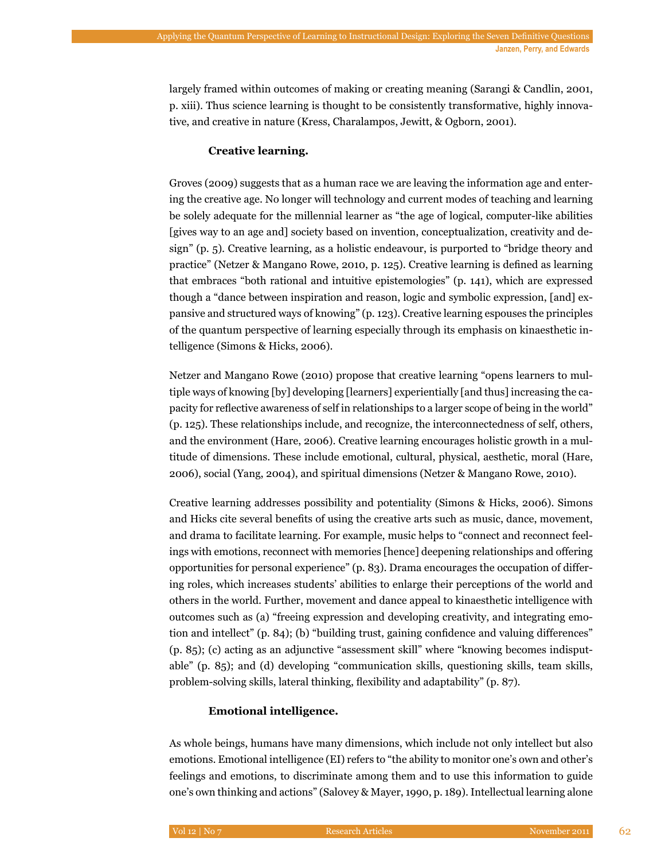largely framed within outcomes of making or creating meaning (Sarangi & Candlin, 2001, p. xiii). Thus science learning is thought to be consistently transformative, highly innovative, and creative in nature (Kress, Charalampos, Jewitt, & Ogborn, 2001).

#### **Creative learning.**

Groves (2009) suggests that as a human race we are leaving the information age and entering the creative age. No longer will technology and current modes of teaching and learning be solely adequate for the millennial learner as "the age of logical, computer-like abilities [gives way to an age and] society based on invention, conceptualization, creativity and design" (p. 5). Creative learning, as a holistic endeavour, is purported to "bridge theory and practice" (Netzer & Mangano Rowe, 2010, p. 125). Creative learning is defined as learning that embraces "both rational and intuitive epistemologies" (p. 141), which are expressed though a "dance between inspiration and reason, logic and symbolic expression, [and] expansive and structured ways of knowing" (p. 123). Creative learning espouses the principles of the quantum perspective of learning especially through its emphasis on kinaesthetic intelligence (Simons & Hicks, 2006).

Netzer and Mangano Rowe (2010) propose that creative learning "opens learners to multiple ways of knowing [by] developing [learners] experientially [and thus] increasing the capacity for reflective awareness of self in relationships to a larger scope of being in the world" (p. 125). These relationships include, and recognize, the interconnectedness of self, others, and the environment (Hare, 2006). Creative learning encourages holistic growth in a multitude of dimensions. These include emotional, cultural, physical, aesthetic, moral (Hare, 2006), social (Yang, 2004), and spiritual dimensions (Netzer & Mangano Rowe, 2010).

Creative learning addresses possibility and potentiality (Simons & Hicks, 2006). Simons and Hicks cite several benefits of using the creative arts such as music, dance, movement, and drama to facilitate learning. For example, music helps to "connect and reconnect feelings with emotions, reconnect with memories [hence] deepening relationships and offering opportunities for personal experience" (p. 83). Drama encourages the occupation of differing roles, which increases students' abilities to enlarge their perceptions of the world and others in the world. Further, movement and dance appeal to kinaesthetic intelligence with outcomes such as (a) "freeing expression and developing creativity, and integrating emotion and intellect" (p. 84); (b) "building trust, gaining confidence and valuing differences" (p. 85); (c) acting as an adjunctive "assessment skill" where "knowing becomes indisputable" (p. 85); and (d) developing "communication skills, questioning skills, team skills, problem-solving skills, lateral thinking, flexibility and adaptability" (p. 87).

#### **Emotional intelligence.**

As whole beings, humans have many dimensions, which include not only intellect but also emotions. Emotional intelligence (EI) refers to "the ability to monitor one's own and other's feelings and emotions, to discriminate among them and to use this information to guide one's own thinking and actions" (Salovey & Mayer, 1990, p. 189). Intellectual learning alone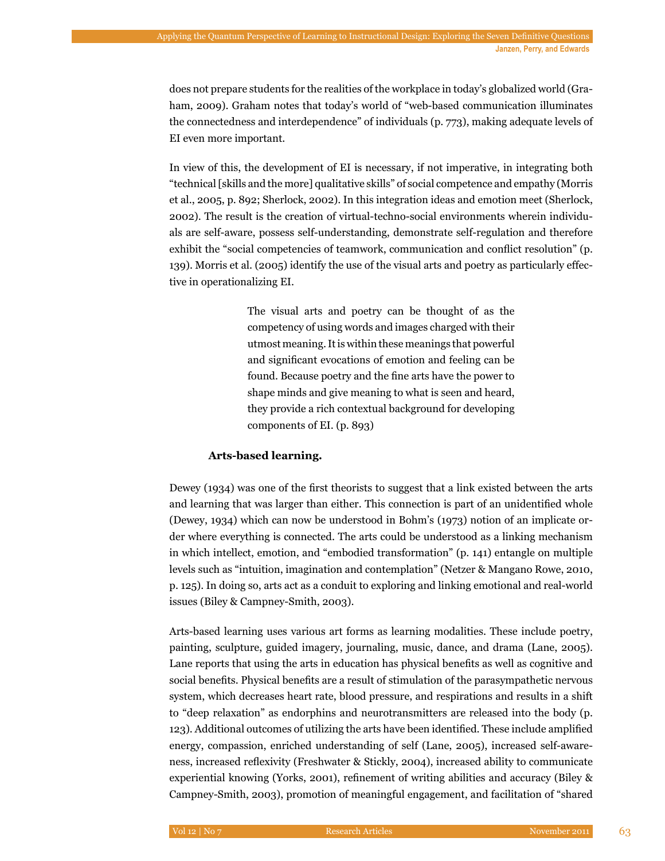does not prepare students for the realities of the workplace in today's globalized world (Graham, 2009). Graham notes that today's world of "web-based communication illuminates the connectedness and interdependence" of individuals (p. 773), making adequate levels of EI even more important.

In view of this, the development of EI is necessary, if not imperative, in integrating both "technical [skills and the more] qualitative skills" of social competence and empathy (Morris et al., 2005, p. 892; Sherlock, 2002). In this integration ideas and emotion meet (Sherlock, 2002). The result is the creation of virtual-techno-social environments wherein individuals are self-aware, possess self-understanding, demonstrate self-regulation and therefore exhibit the "social competencies of teamwork, communication and conflict resolution" (p. 139). Morris et al. (2005) identify the use of the visual arts and poetry as particularly effective in operationalizing EI.

> The visual arts and poetry can be thought of as the competency of using words and images charged with their utmost meaning. It is within these meanings that powerful and significant evocations of emotion and feeling can be found. Because poetry and the fine arts have the power to shape minds and give meaning to what is seen and heard, they provide a rich contextual background for developing components of EI. (p. 893)

#### **Arts-based learning.**

Dewey (1934) was one of the first theorists to suggest that a link existed between the arts and learning that was larger than either. This connection is part of an unidentified whole (Dewey, 1934) which can now be understood in Bohm's (1973) notion of an implicate order where everything is connected. The arts could be understood as a linking mechanism in which intellect, emotion, and "embodied transformation" (p. 141) entangle on multiple levels such as "intuition, imagination and contemplation" (Netzer & Mangano Rowe, 2010, p. 125). In doing so, arts act as a conduit to exploring and linking emotional and real-world issues (Biley & Campney-Smith, 2003).

Arts-based learning uses various art forms as learning modalities. These include poetry, painting, sculpture, guided imagery, journaling, music, dance, and drama (Lane, 2005). Lane reports that using the arts in education has physical benefits as well as cognitive and social benefits. Physical benefits are a result of stimulation of the parasympathetic nervous system, which decreases heart rate, blood pressure, and respirations and results in a shift to "deep relaxation" as endorphins and neurotransmitters are released into the body (p. 123). Additional outcomes of utilizing the arts have been identified. These include amplified energy, compassion, enriched understanding of self (Lane, 2005), increased self-awareness, increased reflexivity (Freshwater & Stickly, 2004), increased ability to communicate experiential knowing (Yorks, 2001), refinement of writing abilities and accuracy (Biley & Campney-Smith, 2003), promotion of meaningful engagement, and facilitation of "shared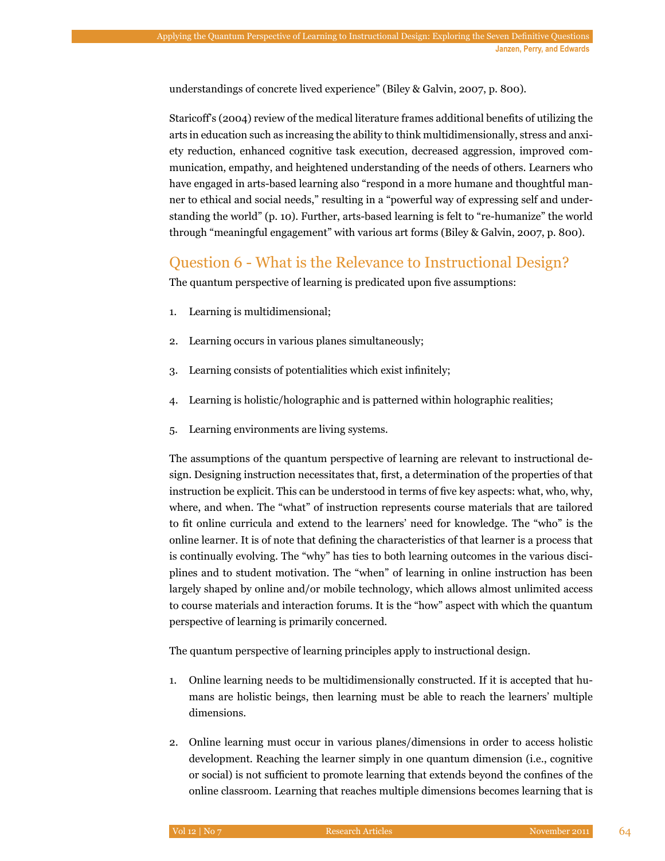understandings of concrete lived experience" (Biley & Galvin, 2007, p. 800).

Staricoff's (2004) review of the medical literature frames additional benefits of utilizing the arts in education such as increasing the ability to think multidimensionally, stress and anxiety reduction, enhanced cognitive task execution, decreased aggression, improved communication, empathy, and heightened understanding of the needs of others. Learners who have engaged in arts-based learning also "respond in a more humane and thoughtful manner to ethical and social needs," resulting in a "powerful way of expressing self and understanding the world" (p. 10). Further, arts-based learning is felt to "re-humanize" the world through "meaningful engagement" with various art forms (Biley & Galvin, 2007, p. 800).

# Question 6 - What is the Relevance to Instructional Design?

The quantum perspective of learning is predicated upon five assumptions:

- 1. Learning is multidimensional;
- 2. Learning occurs in various planes simultaneously;
- 3. Learning consists of potentialities which exist infinitely;
- 4. Learning is holistic/holographic and is patterned within holographic realities;
- 5. Learning environments are living systems.

The assumptions of the quantum perspective of learning are relevant to instructional design. Designing instruction necessitates that, first, a determination of the properties of that instruction be explicit. This can be understood in terms of five key aspects: what, who, why, where, and when. The "what" of instruction represents course materials that are tailored to fit online curricula and extend to the learners' need for knowledge. The "who" is the online learner. It is of note that defining the characteristics of that learner is a process that is continually evolving. The "why" has ties to both learning outcomes in the various disciplines and to student motivation. The "when" of learning in online instruction has been largely shaped by online and/or mobile technology, which allows almost unlimited access to course materials and interaction forums. It is the "how" aspect with which the quantum perspective of learning is primarily concerned.

The quantum perspective of learning principles apply to instructional design.

- 1. Online learning needs to be multidimensionally constructed. If it is accepted that humans are holistic beings, then learning must be able to reach the learners' multiple dimensions.
- 2. Online learning must occur in various planes/dimensions in order to access holistic development. Reaching the learner simply in one quantum dimension (i.e., cognitive or social) is not sufficient to promote learning that extends beyond the confines of the online classroom. Learning that reaches multiple dimensions becomes learning that is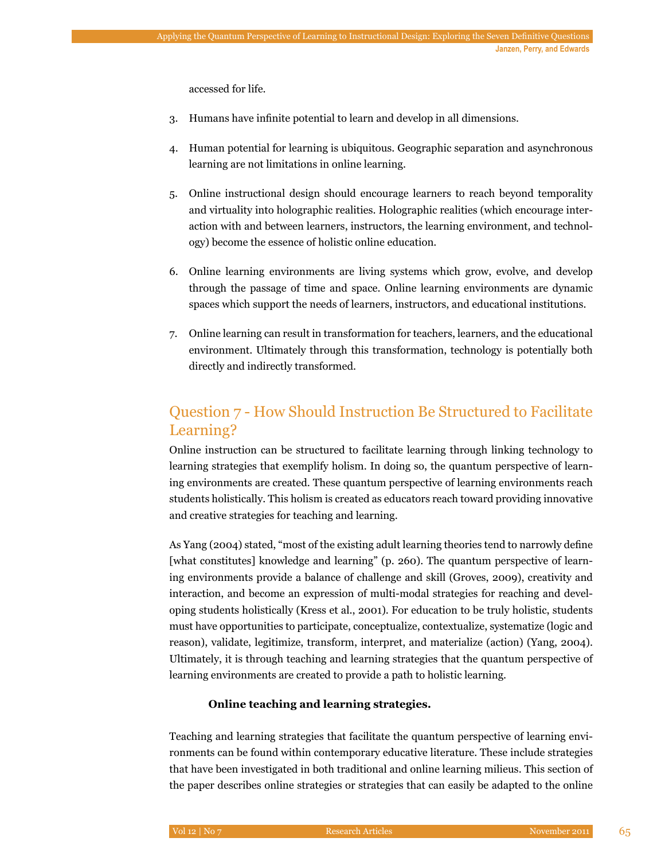accessed for life.

- 3. Humans have infinite potential to learn and develop in all dimensions.
- 4. Human potential for learning is ubiquitous. Geographic separation and asynchronous learning are not limitations in online learning.
- 5. Online instructional design should encourage learners to reach beyond temporality and virtuality into holographic realities. Holographic realities (which encourage interaction with and between learners, instructors, the learning environment, and technology) become the essence of holistic online education.
- 6. Online learning environments are living systems which grow, evolve, and develop through the passage of time and space. Online learning environments are dynamic spaces which support the needs of learners, instructors, and educational institutions.
- 7. Online learning can result in transformation for teachers, learners, and the educational environment. Ultimately through this transformation, technology is potentially both directly and indirectly transformed.

# Question 7 - How Should Instruction Be Structured to Facilitate Learning?

Online instruction can be structured to facilitate learning through linking technology to learning strategies that exemplify holism. In doing so, the quantum perspective of learning environments are created. These quantum perspective of learning environments reach students holistically. This holism is created as educators reach toward providing innovative and creative strategies for teaching and learning.

As Yang (2004) stated, "most of the existing adult learning theories tend to narrowly define [what constitutes] knowledge and learning" (p. 260). The quantum perspective of learning environments provide a balance of challenge and skill (Groves, 2009), creativity and interaction, and become an expression of multi-modal strategies for reaching and developing students holistically (Kress et al., 2001). For education to be truly holistic, students must have opportunities to participate, conceptualize, contextualize, systematize (logic and reason), validate, legitimize, transform, interpret, and materialize (action) (Yang, 2004). Ultimately, it is through teaching and learning strategies that the quantum perspective of learning environments are created to provide a path to holistic learning.

#### **Online teaching and learning strategies.**

Teaching and learning strategies that facilitate the quantum perspective of learning environments can be found within contemporary educative literature. These include strategies that have been investigated in both traditional and online learning milieus. This section of the paper describes online strategies or strategies that can easily be adapted to the online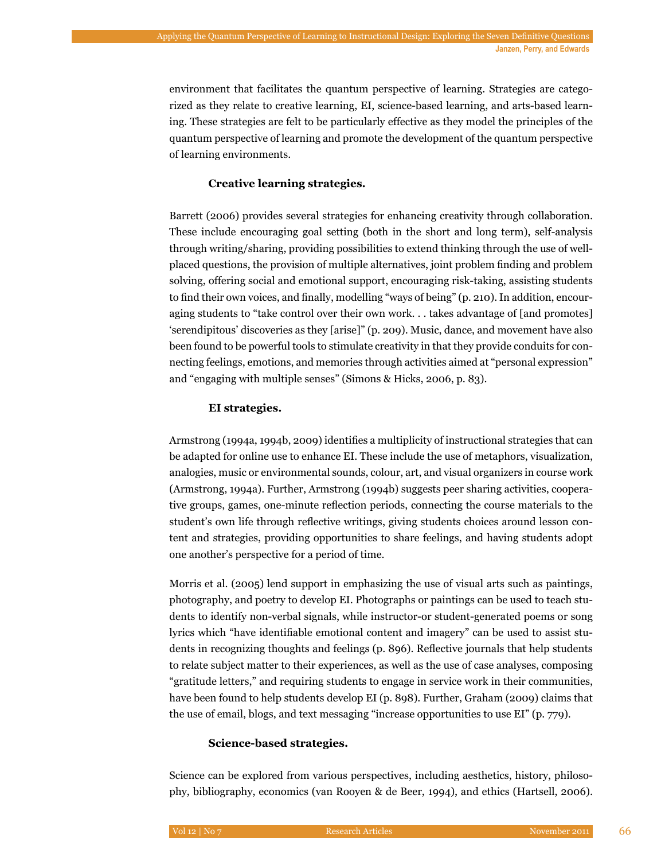environment that facilitates the quantum perspective of learning. Strategies are categorized as they relate to creative learning, EI, science-based learning, and arts-based learning. These strategies are felt to be particularly effective as they model the principles of the quantum perspective of learning and promote the development of the quantum perspective of learning environments.

#### **Creative learning strategies.**

Barrett (2006) provides several strategies for enhancing creativity through collaboration. These include encouraging goal setting (both in the short and long term), self-analysis through writing/sharing, providing possibilities to extend thinking through the use of wellplaced questions, the provision of multiple alternatives, joint problem finding and problem solving, offering social and emotional support, encouraging risk-taking, assisting students to find their own voices, and finally, modelling "ways of being" (p. 210). In addition, encouraging students to "take control over their own work. . . takes advantage of [and promotes] 'serendipitous' discoveries as they [arise]" (p. 209). Music, dance, and movement have also been found to be powerful tools to stimulate creativity in that they provide conduits for connecting feelings, emotions, and memories through activities aimed at "personal expression" and "engaging with multiple senses" (Simons & Hicks, 2006, p. 83).

#### **EI strategies.**

Armstrong (1994a, 1994b, 2009) identifies a multiplicity of instructional strategies that can be adapted for online use to enhance EI. These include the use of metaphors, visualization, analogies, music or environmental sounds, colour, art, and visual organizers in course work (Armstrong, 1994a). Further, Armstrong (1994b) suggests peer sharing activities, cooperative groups, games, one-minute reflection periods, connecting the course materials to the student's own life through reflective writings, giving students choices around lesson content and strategies, providing opportunities to share feelings, and having students adopt one another's perspective for a period of time.

Morris et al. (2005) lend support in emphasizing the use of visual arts such as paintings, photography, and poetry to develop EI. Photographs or paintings can be used to teach students to identify non-verbal signals, while instructor-or student-generated poems or song lyrics which "have identifiable emotional content and imagery" can be used to assist students in recognizing thoughts and feelings (p. 896). Reflective journals that help students to relate subject matter to their experiences, as well as the use of case analyses, composing "gratitude letters," and requiring students to engage in service work in their communities, have been found to help students develop EI (p. 898). Further, Graham (2009) claims that the use of email, blogs, and text messaging "increase opportunities to use EI" (p. 779).

#### **Science-based strategies.**

Science can be explored from various perspectives, including aesthetics, history, philosophy, bibliography, economics (van Rooyen & de Beer, 1994), and ethics (Hartsell, 2006).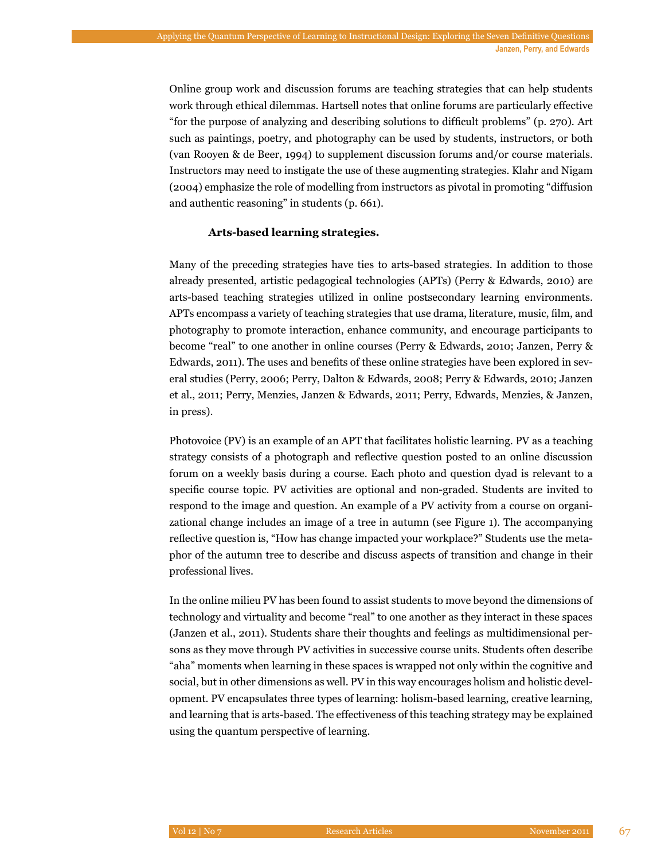Online group work and discussion forums are teaching strategies that can help students work through ethical dilemmas. Hartsell notes that online forums are particularly effective "for the purpose of analyzing and describing solutions to difficult problems" (p. 270). Art such as paintings, poetry, and photography can be used by students, instructors, or both (van Rooyen & de Beer, 1994) to supplement discussion forums and/or course materials. Instructors may need to instigate the use of these augmenting strategies. Klahr and Nigam (2004) emphasize the role of modelling from instructors as pivotal in promoting "diffusion and authentic reasoning" in students (p. 661).

#### **Arts-based learning strategies.**

Many of the preceding strategies have ties to arts-based strategies. In addition to those already presented, artistic pedagogical technologies (APTs) (Perry & Edwards, 2010) are arts-based teaching strategies utilized in online postsecondary learning environments. APTs encompass a variety of teaching strategies that use drama, literature, music, film, and photography to promote interaction, enhance community, and encourage participants to become "real" to one another in online courses (Perry & Edwards, 2010; Janzen, Perry & Edwards, 2011). The uses and benefits of these online strategies have been explored in several studies (Perry, 2006; Perry, Dalton & Edwards, 2008; Perry & Edwards, 2010; Janzen et al., 2011; Perry, Menzies, Janzen & Edwards, 2011; Perry, Edwards, Menzies, & Janzen, in press).

Photovoice (PV) is an example of an APT that facilitates holistic learning. PV as a teaching strategy consists of a photograph and reflective question posted to an online discussion forum on a weekly basis during a course. Each photo and question dyad is relevant to a specific course topic. PV activities are optional and non-graded. Students are invited to respond to the image and question. An example of a PV activity from a course on organizational change includes an image of a tree in autumn (see Figure 1). The accompanying reflective question is, "How has change impacted your workplace?" Students use the metaphor of the autumn tree to describe and discuss aspects of transition and change in their professional lives.

In the online milieu PV has been found to assist students to move beyond the dimensions of technology and virtuality and become "real" to one another as they interact in these spaces (Janzen et al., 2011). Students share their thoughts and feelings as multidimensional persons as they move through PV activities in successive course units. Students often describe "aha" moments when learning in these spaces is wrapped not only within the cognitive and social, but in other dimensions as well. PV in this way encourages holism and holistic development. PV encapsulates three types of learning: holism-based learning, creative learning, and learning that is arts-based. The effectiveness of this teaching strategy may be explained using the quantum perspective of learning.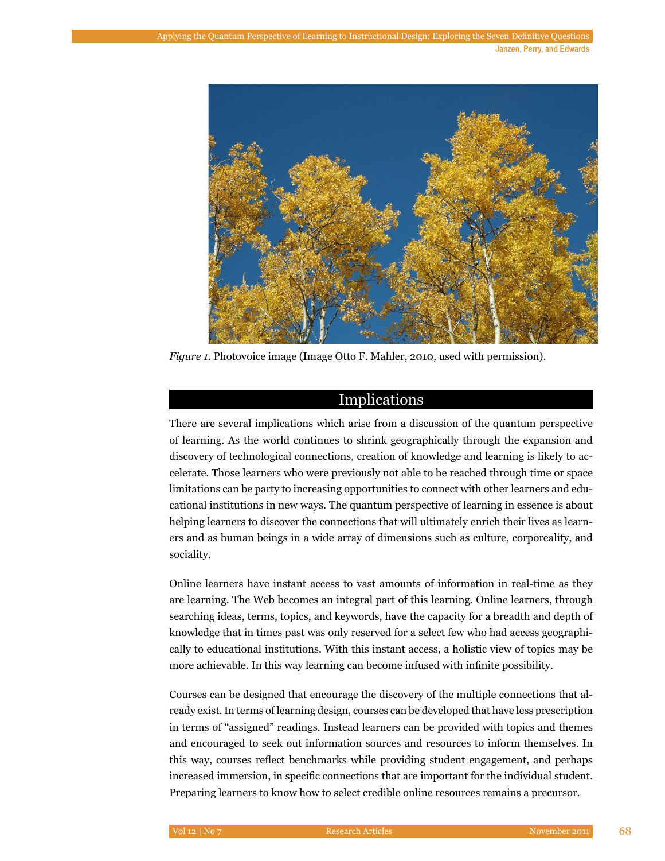

*Figure 1*. Photovoice image (Image Otto F. Mahler, 2010, used with permission).

### Implications

There are several implications which arise from a discussion of the quantum perspective of learning. As the world continues to shrink geographically through the expansion and discovery of technological connections, creation of knowledge and learning is likely to accelerate. Those learners who were previously not able to be reached through time or space limitations can be party to increasing opportunities to connect with other learners and educational institutions in new ways. The quantum perspective of learning in essence is about helping learners to discover the connections that will ultimately enrich their lives as learners and as human beings in a wide array of dimensions such as culture, corporeality, and sociality.

Online learners have instant access to vast amounts of information in real-time as they are learning. The Web becomes an integral part of this learning. Online learners, through searching ideas, terms, topics, and keywords, have the capacity for a breadth and depth of knowledge that in times past was only reserved for a select few who had access geographically to educational institutions. With this instant access, a holistic view of topics may be more achievable. In this way learning can become infused with infinite possibility.

Courses can be designed that encourage the discovery of the multiple connections that already exist. In terms of learning design, courses can be developed that have less prescription in terms of "assigned" readings. Instead learners can be provided with topics and themes and encouraged to seek out information sources and resources to inform themselves. In this way, courses reflect benchmarks while providing student engagement, and perhaps increased immersion, in specific connections that are important for the individual student. Preparing learners to know how to select credible online resources remains a precursor.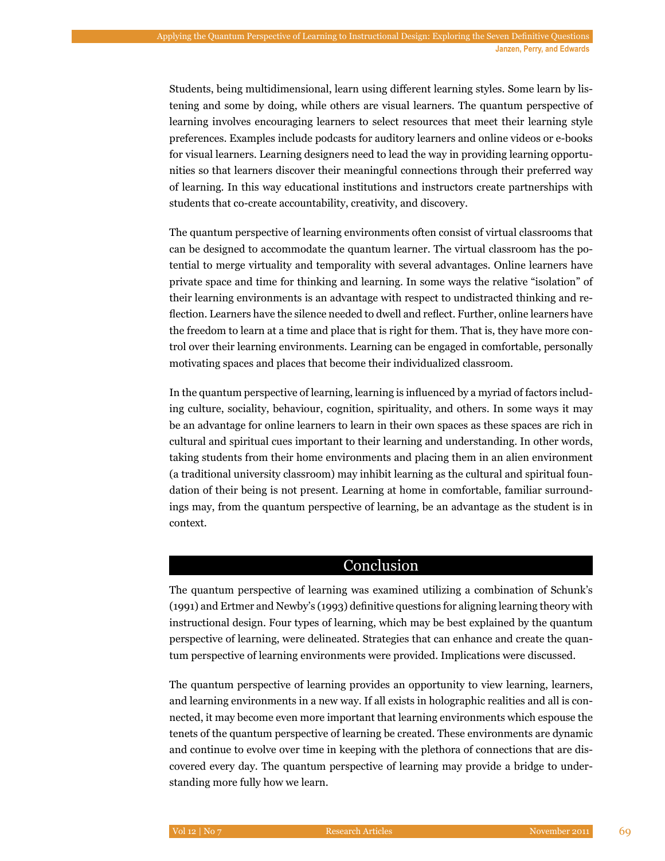Students, being multidimensional, learn using different learning styles. Some learn by listening and some by doing, while others are visual learners. The quantum perspective of learning involves encouraging learners to select resources that meet their learning style preferences. Examples include podcasts for auditory learners and online videos or e-books for visual learners. Learning designers need to lead the way in providing learning opportunities so that learners discover their meaningful connections through their preferred way of learning. In this way educational institutions and instructors create partnerships with students that co-create accountability, creativity, and discovery.

The quantum perspective of learning environments often consist of virtual classrooms that can be designed to accommodate the quantum learner. The virtual classroom has the potential to merge virtuality and temporality with several advantages. Online learners have private space and time for thinking and learning. In some ways the relative "isolation" of their learning environments is an advantage with respect to undistracted thinking and reflection. Learners have the silence needed to dwell and reflect. Further, online learners have the freedom to learn at a time and place that is right for them. That is, they have more control over their learning environments. Learning can be engaged in comfortable, personally motivating spaces and places that become their individualized classroom.

In the quantum perspective of learning, learning is influenced by a myriad of factors including culture, sociality, behaviour, cognition, spirituality, and others. In some ways it may be an advantage for online learners to learn in their own spaces as these spaces are rich in cultural and spiritual cues important to their learning and understanding. In other words, taking students from their home environments and placing them in an alien environment (a traditional university classroom) may inhibit learning as the cultural and spiritual foundation of their being is not present. Learning at home in comfortable, familiar surroundings may, from the quantum perspective of learning, be an advantage as the student is in context.

### Conclusion

The quantum perspective of learning was examined utilizing a combination of Schunk's (1991) and Ertmer and Newby's (1993) definitive questions for aligning learning theory with instructional design. Four types of learning, which may be best explained by the quantum perspective of learning, were delineated. Strategies that can enhance and create the quantum perspective of learning environments were provided. Implications were discussed.

The quantum perspective of learning provides an opportunity to view learning, learners, and learning environments in a new way. If all exists in holographic realities and all is connected, it may become even more important that learning environments which espouse the tenets of the quantum perspective of learning be created. These environments are dynamic and continue to evolve over time in keeping with the plethora of connections that are discovered every day. The quantum perspective of learning may provide a bridge to understanding more fully how we learn.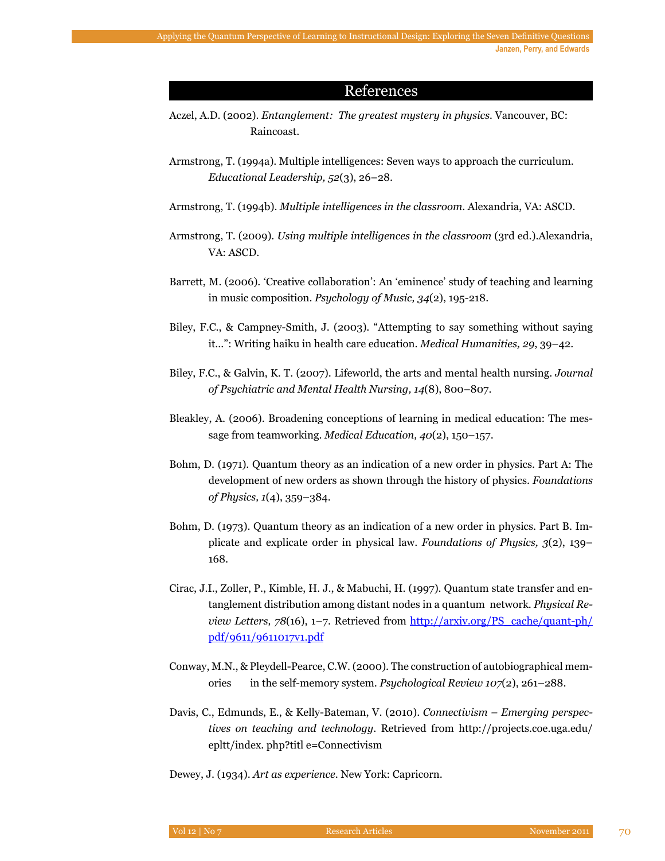### References

- Aczel, A.D. (2002). *Entanglement: The greatest mystery in physics.* Vancouver, BC: Raincoast.
- Armstrong, T. (1994a). Multiple intelligences: Seven ways to approach the curriculum. *Educational Leadership, 52*(3), 26–28.
- Armstrong, T. (1994b). *Multiple intelligences in the classroom*. Alexandria, VA: ASCD.
- Armstrong, T. (2009). *Using multiple intelligences in the classroom* (3rd ed.).Alexandria, VA: ASCD.
- Barrett, M. (2006). 'Creative collaboration': An 'eminence' study of teaching and learning in music composition. *Psychology of Music, 34*(2), 195-218.
- Biley, F.C., & Campney-Smith, J. (2003). "Attempting to say something without saying it...": Writing haiku in health care education. *Medical Humanities, 29*, 39–42.
- Biley, F.C., & Galvin, K. T. (2007). Lifeworld, the arts and mental health nursing. *Journal of Psychiatric and Mental Health Nursing, 14*(8), 800–807.
- Bleakley, A. (2006). Broadening conceptions of learning in medical education: The message from teamworking. *Medical Education, 40*(2), 150–157.
- Bohm, D. (1971). Quantum theory as an indication of a new order in physics. Part A: The development of new orders as shown through the history of physics. *Foundations of Physics, 1*(4), 359–384.
- Bohm, D. (1973). Quantum theory as an indication of a new order in physics. Part B. Implicate and explicate order in physical law. *Foundations of Physics, 3*(2), 139– 168.
- Cirac, J.I., Zoller, P., Kimble, H. J., & Mabuchi, H. (1997). Quantum state transfer and entanglement distribution among distant nodes in a quantum network. *Physical Review Letters, 78*(16), 1–7. Retrieved from [http://arxiv.org/PS\\_cache/quant-ph/](http://arxiv.org/PS_cache/quant-ph/pdf/9611/9611017v1.pdf) [pdf/9611/9611017v1.pdf](http://arxiv.org/PS_cache/quant-ph/pdf/9611/9611017v1.pdf)
- Conway, M.N., & Pleydell-Pearce, C.W. (2000). The construction of autobiographical memories in the self-memory system. *Psychological Review 107*(2), 261–288.
- Davis, C., Edmunds, E., & Kelly-Bateman, V. (2010). *Connectivism Emerging perspectives on teaching and technology*. Retrieved from http://projects.coe.uga.edu/ epltt/index. php?titl e=Connectivism
- Dewey, J. (1934). *Art as experience*. New York: Capricorn.

| Vol 12   No $7$ |  |
|-----------------|--|
|                 |  |
|                 |  |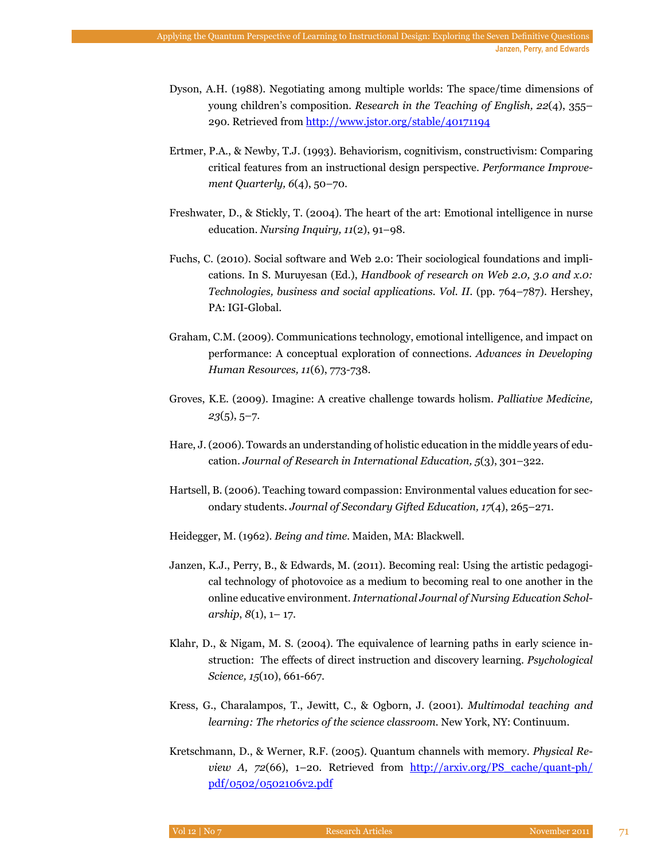- Dyson, A.H. (1988). Negotiating among multiple worlds: The space/time dimensions of young children's composition. *Research in the Teaching of English, 22*(4), 355– 290. Retrieved from <http://www.jstor.org/stable/40171194>
- Ertmer, P.A., & Newby, T.J. (1993). Behaviorism, cognitivism, constructivism: Comparing critical features from an instructional design perspective. *Performance Improvement Quarterly, 6*(4), 50–70.
- Freshwater, D., & Stickly, T. (2004). The heart of the art: Emotional intelligence in nurse education. *Nursing Inquiry, 11*(2), 91–98.
- Fuchs, C. (2010). Social software and Web 2.0: Their sociological foundations and implications. In S. Muruyesan (Ed.), *Handbook of research on Web 2.0, 3.0 and x.0: Technologies, business and social applications. Vol. II.* (pp. 764–787). Hershey, PA: IGI-Global.
- Graham, C.M. (2009). Communications technology, emotional intelligence, and impact on performance: A conceptual exploration of connections. *Advances in Developing Human Resources, 11*(6), 773-738.
- Groves, K.E. (2009). Imagine: A creative challenge towards holism. *Palliative Medicine, 23*(5), 5–7.
- Hare, J. (2006). Towards an understanding of holistic education in the middle years of education. *Journal of Research in International Education, 5*(3), 301–322.
- Hartsell, B. (2006). Teaching toward compassion: Environmental values education for secondary students. *Journal of Secondary Gifted Education, 17*(4), 265–271.
- Heidegger, M. (1962). *Being and time.* Maiden, MA: Blackwell.
- Janzen, K.J., Perry, B., & Edwards, M. (2011). Becoming real: Using the artistic pedagogical technology of photovoice as a medium to becoming real to one another in the online educative environment. *International Journal of Nursing Education Scholarship*, *8*(1), 1– 17.
- Klahr, D., & Nigam, M. S. (2004). The equivalence of learning paths in early science instruction: The effects of direct instruction and discovery learning. *Psychological Science, 15*(10), 661-667.
- Kress, G., Charalampos, T., Jewitt, C., & Ogborn, J. (2001). *Multimodal teaching and learning: The rhetorics of the science classroom.* New York, NY: Continuum.
- Kretschmann, D., & Werner, R.F. (2005). Quantum channels with memory. *Physical Review A, 72*(66), 1–20. Retrieved from [http://arxiv.org/PS\\_cache/quant-ph/](http://arxiv.org/PS_cache/quant-ph/pdf/0502/0502106v2.pdf) [pdf/0502/0502106v2.pdf](http://arxiv.org/PS_cache/quant-ph/pdf/0502/0502106v2.pdf)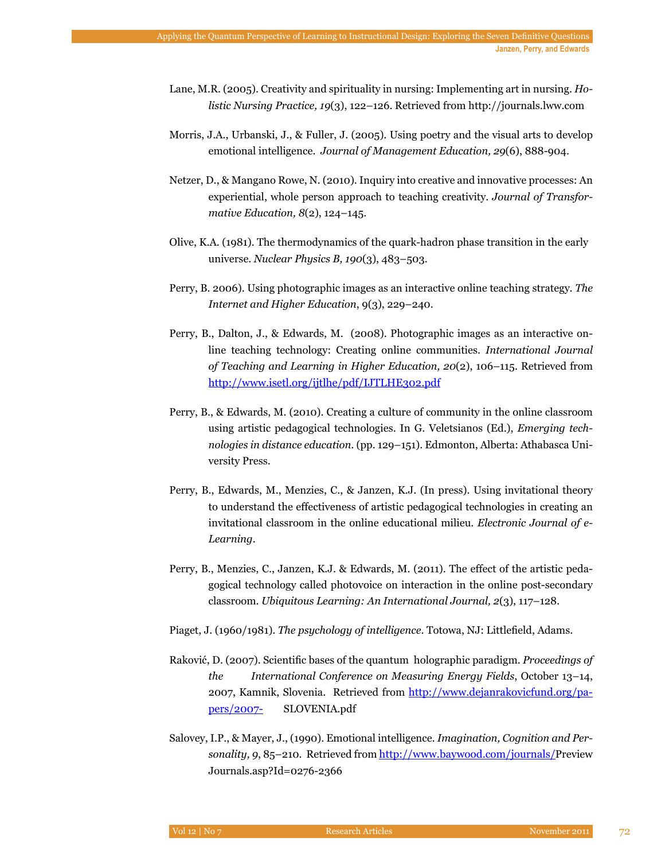- Lane, M.R. (2005). Creativity and spirituality in nursing: Implementing art in nursing. *Holistic Nursing Practice, 19*(3), 122–126. Retrieved from http://journals.lww.com
- Morris, J.A., Urbanski, J., & Fuller, J. (2005). Using poetry and the visual arts to develop emotional intelligence. *Journal of Management Education, 29*(6), 888-904.
- Netzer, D., & Mangano Rowe, N. (2010). Inquiry into creative and innovative processes: An experiential, whole person approach to teaching creativity. *Journal of Transformative Education, 8*(2), 124–145.
- Olive, K.A. (1981). The thermodynamics of the quark-hadron phase transition in the early universe. *Nuclear Physics B, 190*(3), 483–503.
- Perry, B. 2006). Using photographic images as an interactive online teaching strategy*. The Internet and Higher Education*, 9(3), 229–240.
- Perry, B., Dalton, J., & Edwards, M. (2008). Photographic images as an interactive online teaching technology: Creating online communities. *International Journal of Teaching and Learning in Higher Education, 20*(2), 106–115. Retrieved from <http://www.isetl.org/ijtlhe/pdf/IJTLHE302.pdf>
- Perry, B., & Edwards, M. (2010). Creating a culture of community in the online classroom using artistic pedagogical technologies. In G. Veletsianos (Ed.), *Emerging technologies in distance education.* (pp. 129–151). Edmonton, Alberta: Athabasca University Press.
- Perry, B., Edwards, M., Menzies, C., & Janzen, K.J. (In press). Using invitational theory to understand the effectiveness of artistic pedagogical technologies in creating an invitational classroom in the online educational milieu. *Electronic Journal of e-Learning*.
- Perry, B., Menzies, C., Janzen, K.J. & Edwards, M. (2011). The effect of the artistic pedagogical technology called photovoice on interaction in the online post-secondary classroom. *Ubiquitous Learning: An International Journal, 2*(3), 117–128*.*
- Piaget, J. (1960/1981). *The psychology of intelligence*. Totowa, NJ: Littlefield, Adams.
- Raković, D. (2007). Scientific bases of the quantum holographic paradigm. *Proceedings of the International Conference on Measuring Energy Fields*, October 13–14, 2007, Kamnik, Slovenia. Retrieved from [http://www.dejanrakovicfund.org/pa](http://www.dejanrakovicfund.org/papers/2007-)[pers/2007-](http://www.dejanrakovicfund.org/papers/2007-) SLOVENIA.pdf
- Salovey, I.P., & Mayer, J., (1990). Emotional intelligence*. Imagination, Cognition and Personality, 9*, 85–210. Retrieved from [http://www.baywood.com/journals/P](http://www.baywood.com/journals/)review Journals.asp?Id=0276-2366